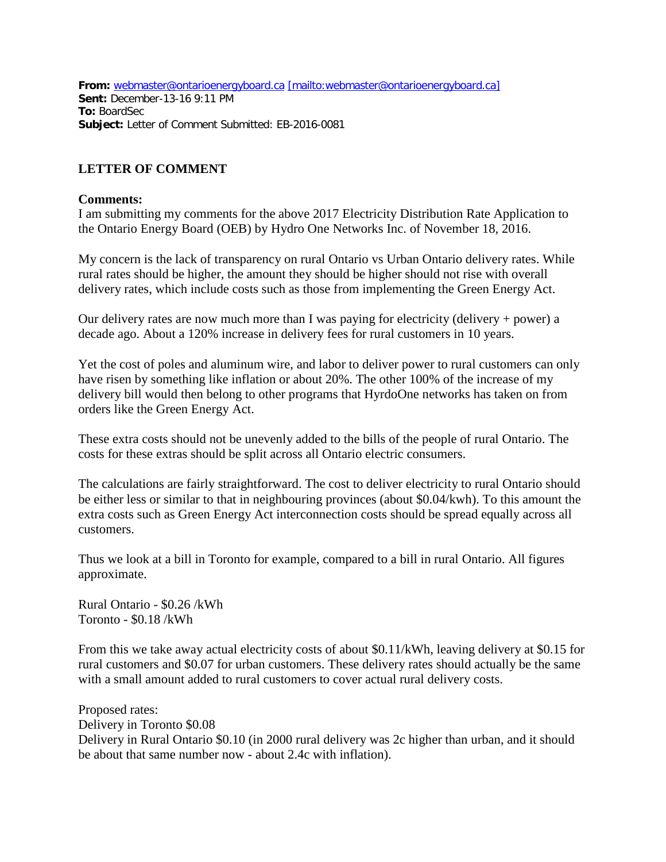**From:** [webmaster@ontarioenergyboard.ca](mailto:webmaster@ontarioenergyboard.ca) [\[mailto:webmaster@ontarioenergyboard.ca\]](mailto:[mailto:webmaster@ontarioenergyboard.ca]) **Sent:** December-13-16 9:11 PM **To:** BoardSec **Subject:** Letter of Comment Submitted: EB-2016-0081

## **LETTER OF COMMENT**

## **Comments:**

I am submitting my comments for the above 2017 Electricity Distribution Rate Application to the Ontario Energy Board (OEB) by Hydro One Networks Inc. of November 18, 2016.

My concern is the lack of transparency on rural Ontario vs Urban Ontario delivery rates. While rural rates should be higher, the amount they should be higher should not rise with overall delivery rates, which include costs such as those from implementing the Green Energy Act.

Our delivery rates are now much more than I was paying for electricity (delivery + power) a decade ago. About a 120% increase in delivery fees for rural customers in 10 years.

Yet the cost of poles and aluminum wire, and labor to deliver power to rural customers can only have risen by something like inflation or about 20%. The other 100% of the increase of my delivery bill would then belong to other programs that HyrdoOne networks has taken on from orders like the Green Energy Act.

These extra costs should not be unevenly added to the bills of the people of rural Ontario. The costs for these extras should be split across all Ontario electric consumers.

The calculations are fairly straightforward. The cost to deliver electricity to rural Ontario should be either less or similar to that in neighbouring provinces (about \$0.04/kwh). To this amount the extra costs such as Green Energy Act interconnection costs should be spread equally across all customers.

Thus we look at a bill in Toronto for example, compared to a bill in rural Ontario. All figures approximate.

Rural Ontario - \$0.26 /kWh Toronto - \$0.18 /kWh

From this we take away actual electricity costs of about \$0.11/kWh, leaving delivery at \$0.15 for rural customers and \$0.07 for urban customers. These delivery rates should actually be the same with a small amount added to rural customers to cover actual rural delivery costs.

Proposed rates: Delivery in Toronto \$0.08 Delivery in Rural Ontario \$0.10 (in 2000 rural delivery was 2c higher than urban, and it should be about that same number now - about 2.4c with inflation).